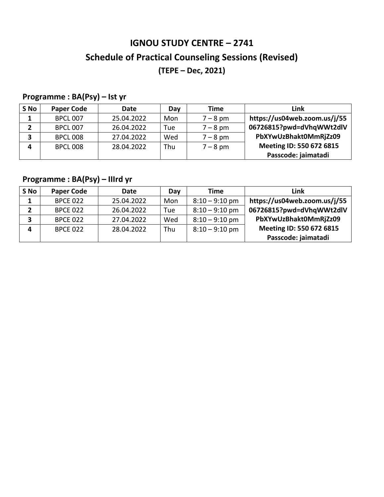# **IGNOU STUDY CENTRE – 2741 Schedule of Practical Counseling Sessions (Revised) (TEPE – Dec, 2021)**

### **Programme : BA(Psy) – Ist yr**

| Link                         | Time       | Day | Date       | <b>Paper Code</b> | S No |
|------------------------------|------------|-----|------------|-------------------|------|
| https://us04web.zoom.us/j/55 | $7 - 8$ pm | Mon | 25.04.2022 | <b>BPCL 007</b>   | 1.   |
| 06726815?pwd=dVhqWWt2dlV     | $7 - 8$ pm | Tue | 26.04.2022 | <b>BPCL 007</b>   |      |
| PbXYwUzBhakt0MmRjZz09        | $7 - 8$ pm | Wed | 27.04.2022 | <b>BPCL 008</b>   | 3    |
| Meeting ID: 550 672 6815     | $7 - 8$ pm | Thu | 28.04.2022 | <b>BPCL 008</b>   | Δ    |
| Passcode: jaimatadi          |            |     |            |                   |      |

### **Programme : BA(Psy) – IIIrd yr**

| S No | <b>Paper Code</b> | Date       | Day | Time             | Link                         |
|------|-------------------|------------|-----|------------------|------------------------------|
|      | <b>BPCE 022</b>   | 25.04.2022 | Mon | $8:10 - 9:10$ pm | https://us04web.zoom.us/j/55 |
|      | <b>BPCE 022</b>   | 26.04.2022 | Tue | $8:10 - 9:10$ pm | 06726815?pwd=dVhqWWt2dlV     |
| 3    | <b>BPCE 022</b>   | 27.04.2022 | Wed | $8:10 - 9:10$ pm | PbXYwUzBhakt0MmRjZz09        |
| Δ    | <b>BPCE 022</b>   | 28.04.2022 | Thu | $8:10 - 9:10$ pm | Meeting ID: 550 672 6815     |
|      |                   |            |     |                  | Passcode: jaimatadi          |